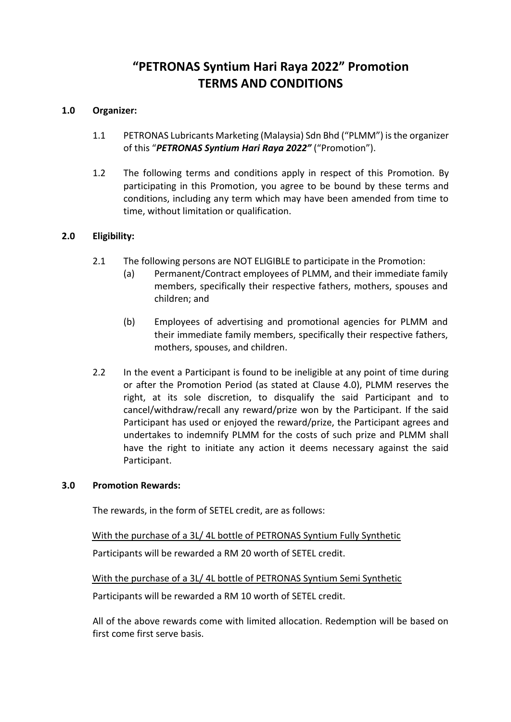# **"PETRONAS Syntium Hari Raya 2022" Promotion TERMS AND CONDITIONS**

## **1.0 Organizer:**

- 1.1 PETRONAS Lubricants Marketing (Malaysia) Sdn Bhd ("PLMM") is the organizer of this "*PETRONAS Syntium Hari Raya 2022"* ("Promotion").
- 1.2 The following terms and conditions apply in respect of this Promotion. By participating in this Promotion, you agree to be bound by these terms and conditions, including any term which may have been amended from time to time, without limitation or qualification.

#### **2.0 Eligibility:**

- 2.1 The following persons are NOT ELIGIBLE to participate in the Promotion:
	- (a) Permanent/Contract employees of PLMM, and their immediate family members, specifically their respective fathers, mothers, spouses and children; and
	- (b) Employees of advertising and promotional agencies for PLMM and their immediate family members, specifically their respective fathers, mothers, spouses, and children.
- 2.2 In the event a Participant is found to be ineligible at any point of time during or after the Promotion Period (as stated at Clause 4.0), PLMM reserves the right, at its sole discretion, to disqualify the said Participant and to cancel/withdraw/recall any reward/prize won by the Participant. If the said Participant has used or enjoyed the reward/prize, the Participant agrees and undertakes to indemnify PLMM for the costs of such prize and PLMM shall have the right to initiate any action it deems necessary against the said Participant.

#### **3.0 Promotion Rewards:**

The rewards, in the form of SETEL credit, are as follows:

With the purchase of a 3L/ 4L bottle of PETRONAS Syntium Fully Synthetic

Participants will be rewarded a RM 20 worth of SETEL credit.

With the purchase of a 3L/ 4L bottle of PETRONAS Syntium Semi Synthetic

Participants will be rewarded a RM 10 worth of SETEL credit.

All of the above rewards come with limited allocation. Redemption will be based on first come first serve basis.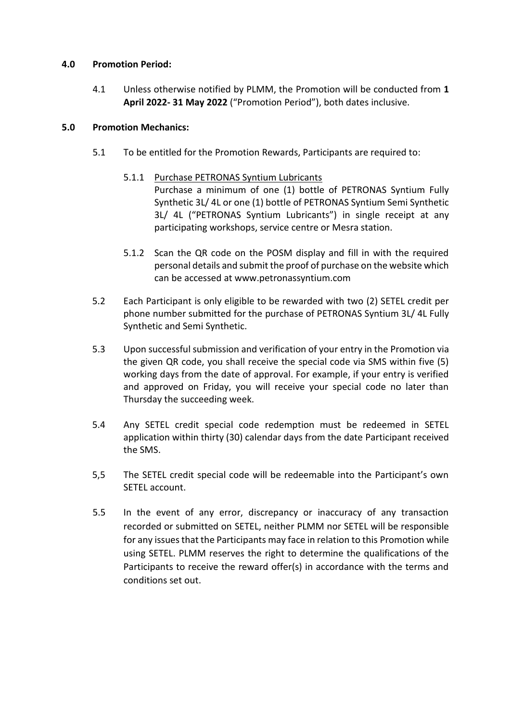## **4.0 Promotion Period:**

4.1 Unless otherwise notified by PLMM, the Promotion will be conducted from **1 April 2022- 31 May 2022** ("Promotion Period"), both dates inclusive.

# **5.0 Promotion Mechanics:**

- 5.1 To be entitled for the Promotion Rewards, Participants are required to:
	- 5.1.1 Purchase PETRONAS Syntium Lubricants Purchase a minimum of one (1) bottle of PETRONAS Syntium Fully Synthetic 3L/ 4L or one (1) bottle of PETRONAS Syntium Semi Synthetic 3L/ 4L ("PETRONAS Syntium Lubricants") in single receipt at any participating workshops, service centre or Mesra station.
	- 5.1.2 Scan the QR code on the POSM display and fill in with the required personal details and submit the proof of purchase on the website which can be accessed at www.petronassyntium.com
- 5.2 Each Participant is only eligible to be rewarded with two (2) SETEL credit per phone number submitted for the purchase of PETRONAS Syntium 3L/ 4L Fully Synthetic and Semi Synthetic.
- 5.3 Upon successful submission and verification of your entry in the Promotion via the given QR code, you shall receive the special code via SMS within five (5) working days from the date of approval. For example, if your entry is verified and approved on Friday, you will receive your special code no later than Thursday the succeeding week.
- 5.4 Any SETEL credit special code redemption must be redeemed in SETEL application within thirty (30) calendar days from the date Participant received the SMS.
- 5,5 The SETEL credit special code will be redeemable into the Participant's own SETEL account.
- 5.5 In the event of any error, discrepancy or inaccuracy of any transaction recorded or submitted on SETEL, neither PLMM nor SETEL will be responsible for any issues that the Participants may face in relation to this Promotion while using SETEL. PLMM reserves the right to determine the qualifications of the Participants to receive the reward offer(s) in accordance with the terms and conditions set out.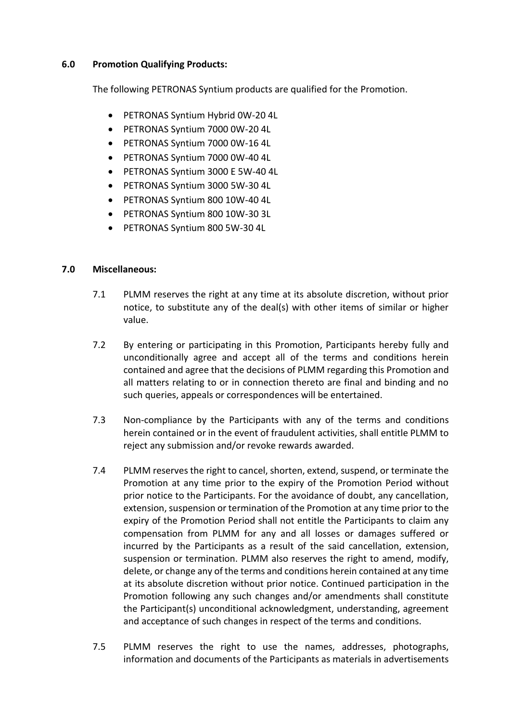## **6.0 Promotion Qualifying Products:**

The following PETRONAS Syntium products are qualified for the Promotion.

- PETRONAS Syntium Hybrid 0W-20 4L
- PETRONAS Syntium 7000 0W-20 4L
- PETRONAS Syntium 7000 0W-16 4L
- PETRONAS Syntium 7000 0W-40 4L
- PETRONAS Syntium 3000 E 5W-40 4L
- PETRONAS Syntium 3000 5W-30 4L
- PETRONAS Syntium 800 10W-40 4L
- PETRONAS Syntium 800 10W-30 3L
- PETRONAS Syntium 800 5W-30 4L

## **7.0 Miscellaneous:**

- 7.1 PLMM reserves the right at any time at its absolute discretion, without prior notice, to substitute any of the deal(s) with other items of similar or higher value.
- 7.2 By entering or participating in this Promotion, Participants hereby fully and unconditionally agree and accept all of the terms and conditions herein contained and agree that the decisions of PLMM regarding this Promotion and all matters relating to or in connection thereto are final and binding and no such queries, appeals or correspondences will be entertained.
- 7.3 Non-compliance by the Participants with any of the terms and conditions herein contained or in the event of fraudulent activities, shall entitle PLMM to reject any submission and/or revoke rewards awarded.
- 7.4 PLMM reserves the right to cancel, shorten, extend, suspend, or terminate the Promotion at any time prior to the expiry of the Promotion Period without prior notice to the Participants. For the avoidance of doubt, any cancellation, extension, suspension or termination of the Promotion at any time prior to the expiry of the Promotion Period shall not entitle the Participants to claim any compensation from PLMM for any and all losses or damages suffered or incurred by the Participants as a result of the said cancellation, extension, suspension or termination. PLMM also reserves the right to amend, modify, delete, or change any of the terms and conditions herein contained at any time at its absolute discretion without prior notice. Continued participation in the Promotion following any such changes and/or amendments shall constitute the Participant(s) unconditional acknowledgment, understanding, agreement and acceptance of such changes in respect of the terms and conditions.
- 7.5 PLMM reserves the right to use the names, addresses, photographs, information and documents of the Participants as materials in advertisements